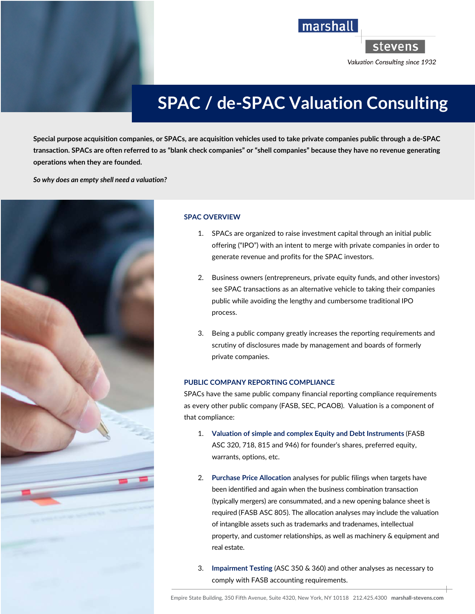

stevens

Valuation Consulting since 1932

# **SPAC / de-SPAC Valuation Consulting**

marshall

**Special purpose acquisition companies, or SPACs, are acquisition vehicles used to take private companies public through a de-SPAC transaction. SPACs are often referred to as "blank check companies" or "shell companies" because they have no revenue generating operations when they are founded.** 

*So why does an empty shell need a valuation?* 



## **SPAC OVERVIEW**

- 1. SPACs are organized to raise investment capital through an initial public offering ("IPO") with an intent to merge with private companies in order to generate revenue and profits for the SPAC investors.
- 2. Business owners (entrepreneurs, private equity funds, and other investors) see SPAC transactions as an alternative vehicle to taking their companies public while avoiding the lengthy and cumbersome traditional IPO process.
- 3. Being a public company greatly increases the reporting requirements and scrutiny of disclosures made by management and boards of formerly private companies.

## **PUBLIC COMPANY REPORTING COMPLIANCE**

SPACs have the same public company financial reporting compliance requirements as every other public company (FASB, SEC, PCAOB). Valuation is a component of that compliance:

- 1. **Valuation of simple and complex Equity and Debt Instruments** (FASB ASC 320, 718, 815 and 946) for founder's shares, preferred equity, warrants, options, etc.
- 2. **Purchase Price Allocation** analyses for public filings when targets have been identified and again when the business combination transaction (typically mergers) are consummated, and a new opening balance sheet is required (FASB ASC 805). The allocation analyses may include the valuation of intangible assets such as trademarks and tradenames, intellectual property, and customer relationships, as well as machinery & equipment and real estate.
- 3. **Impairment Testing** (ASC 350 & 360) and other analyses as necessary to comply with FASB accounting requirements.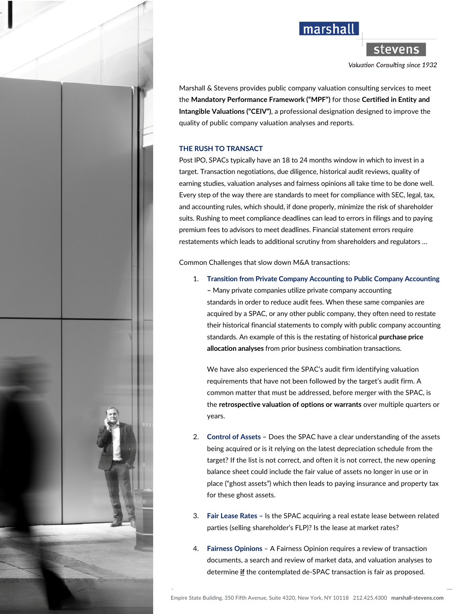



stevens

Valuation Consulting since 1932

Marshall & Stevens provides public company valuation consulting services to meet the **Mandatory Performance Framework ("MPF")** for those **Certified in Entity and Intangible Valuations ("CEIV")**, a professional designation designed to improve the quality of public company valuation analyses and reports.

### **THE RUSH TO TRANSACT**

Post IPO, SPACs typically have an 18 to 24 months window in which to invest in a target. Transaction negotiations, due diligence, historical audit reviews, quality of earning studies, valuation analyses and fairness opinions all take time to be done well. Every step of the way there are standards to meet for compliance with SEC, legal, tax, and accounting rules, which should, if done properly, minimize the risk of shareholder suits. Rushing to meet compliance deadlines can lead to errors in filings and to paying premium fees to advisors to meet deadlines. Financial statement errors require restatements which leads to additional scrutiny from shareholders and regulators …

Common Challenges that slow down M&A transactions:

1. **Transition from Private Company Accounting to Public Company Accounting –** Many private companies utilize private company accounting standards in order to reduce audit fees. When these same companies are acquired by a SPAC, or any other public company, they often need to restate their historical financial statements to comply with public company accounting standards. An example of this is the restating of historical **purchase price allocation analyses** from prior business combination transactions.

We have also experienced the SPAC's audit firm identifying valuation requirements that have not been followed by the target's audit firm. A common matter that must be addressed, before merger with the SPAC, is the **retrospective valuation of options or warrants** over multiple quarters or years.

- 2. **Control of Assets –** Does the SPAC have a clear understanding of the assets being acquired or is it relying on the latest depreciation schedule from the target? If the list is not correct, and often it is not correct, the new opening balance sheet could include the fair value of assets no longer in use or in place ("ghost assets") which then leads to paying insurance and property tax for these ghost assets.
- 3. **Fair Lease Rates –** Is the SPAC acquiring a real estate lease between related parties (selling shareholder's FLP)? Is the lease at market rates?
- 4. **Fairness Opinions** A Fairness Opinion requires a review of transaction documents, a search and review of market data, and valuation analyses to determine **if** the contemplated de-SPAC transaction is fair as proposed.